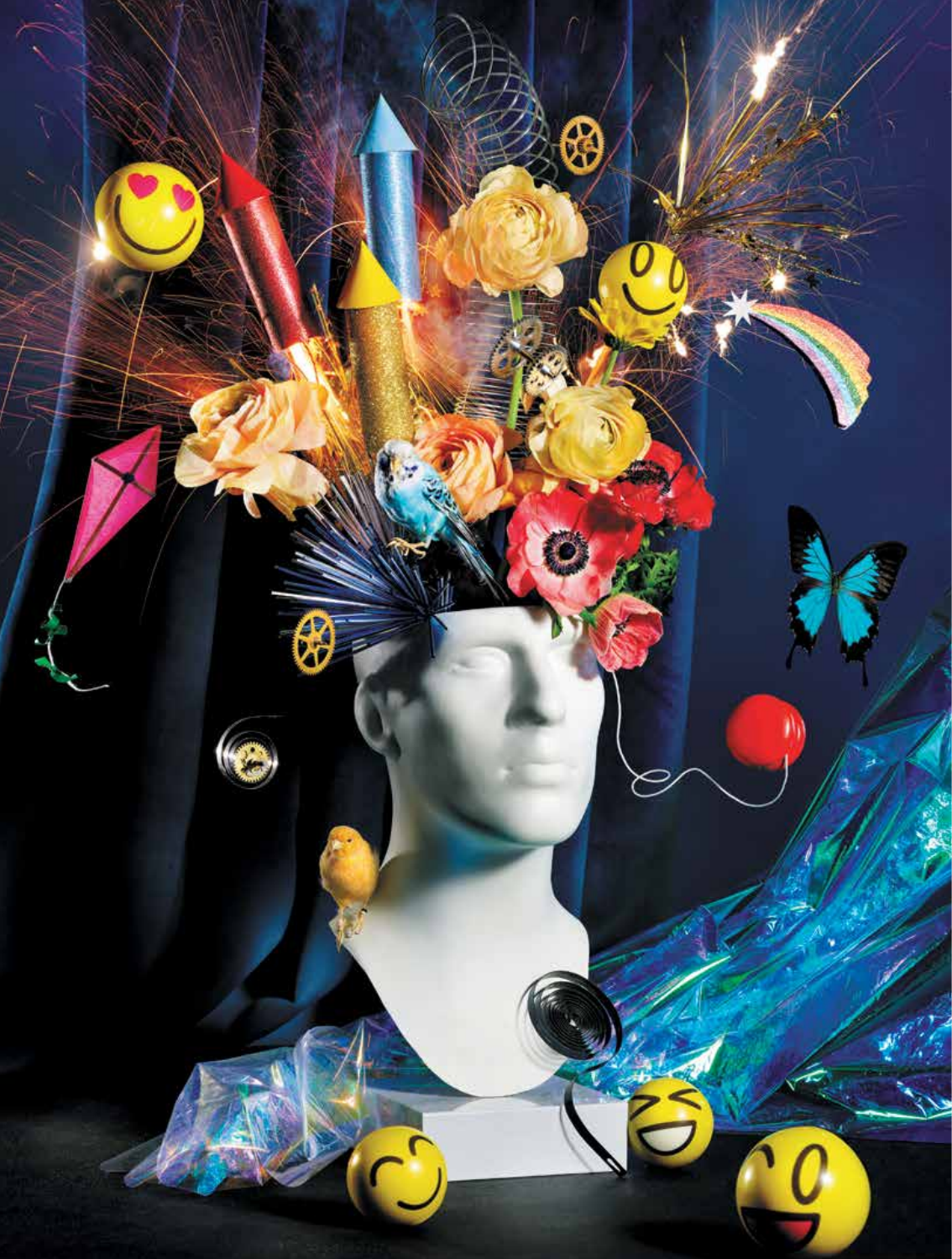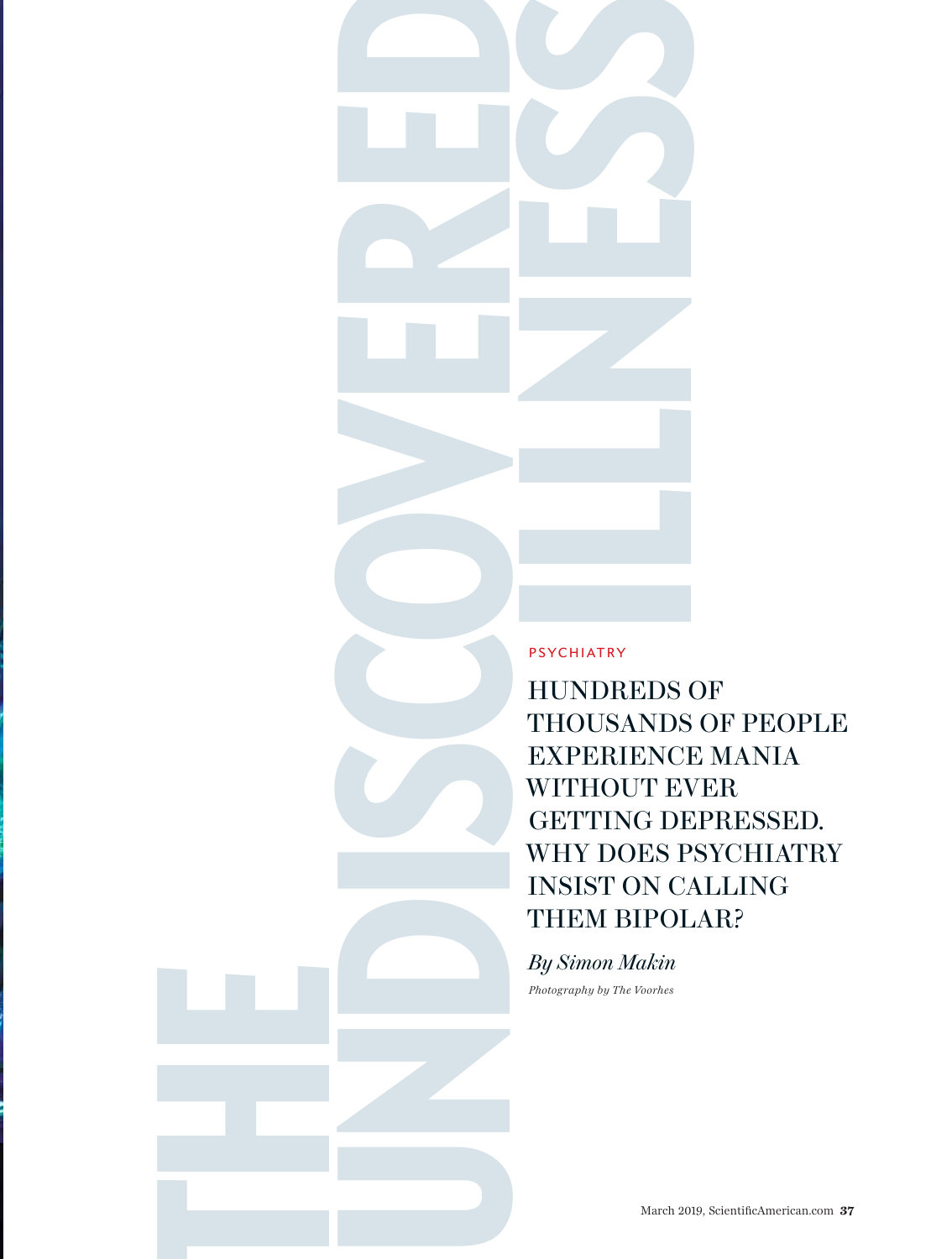# **PSYCHIATRY**

ILLESSES

UNDISCOS

THE

HUNDREDS OF THOUSANDS OF PEOPLE EXPERIENCE MANIA WITHOUT EVER GETTING DEPRESSED. WHY DOES PSYCHIATRY INSIST ON CALLING THEM BIPOLAR?

*Photography by The Voorhes By Simon Makin*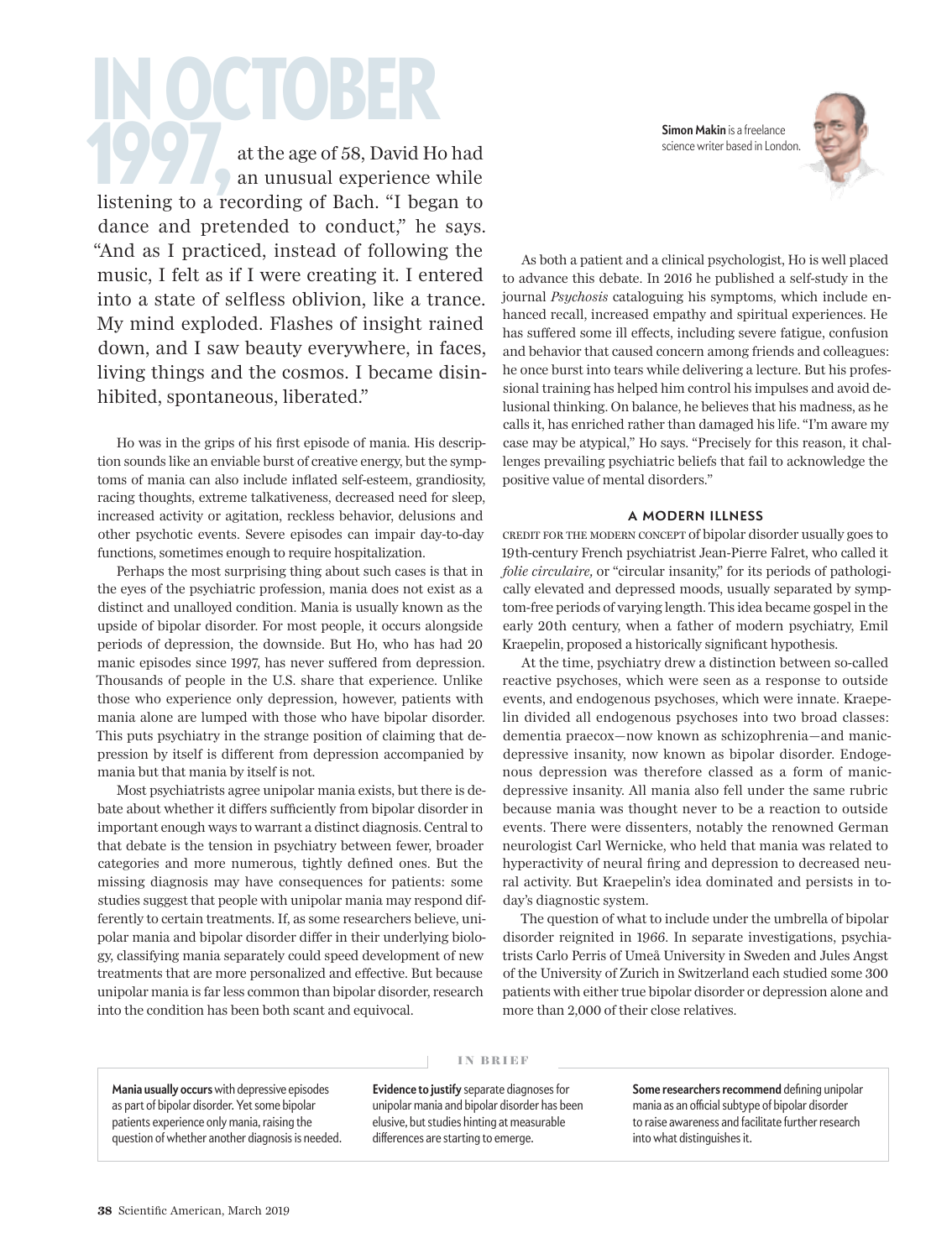at the age of 58, David Ho had an unusual experience while at the age of 58, David Ho had<br>
an unusual experience while<br>
listening to a recording of Bach. "I began to dance and pretended to conduct," he says. "And as I practiced, instead of following the music, I felt as if I were creating it. I entered into a state of selfless oblivion, like a trance. My mind exploded. Flashes of insight rained down, and I saw beauty everywhere, in faces, living things and the cosmos. I became disinhibited, spontaneous, liberated." OCTOBER

Ho was in the grips of his first episode of mania. His description sounds like an enviable burst of creative energy, but the symptoms of mania can also include inflated self-esteem, grandiosity, racing thoughts, extreme talkativeness, decreased need for sleep, increased activity or agitation, reckless behavior, delusions and other psychotic events. Severe episodes can impair day-to-day functions, sometimes enough to require hospitalization.

Perhaps the most surprising thing about such cases is that in the eyes of the psychiatric profession, mania does not exist as a distinct and unalloyed condition. Mania is usually known as the upside of bipolar disorder. For most people, it occurs alongside periods of depression, the downside. But Ho, who has had 20 manic episodes since 1997, has never suffered from depression. Thousands of people in the U.S. share that experience. Unlike those who experience only depression, however, patients with mania alone are lumped with those who have bipolar disorder. This puts psychiatry in the strange position of claiming that depression by itself is different from depression accompanied by mania but that mania by itself is not.

Most psychiatrists agree unipolar mania exists, but there is debate about whether it differs sufficiently from bipolar disorder in important enough ways to warrant a distinct diagnosis. Central to that debate is the tension in psychiatry between fewer, broader categories and more numerous, tightly defined ones. But the missing diagnosis may have consequences for patients: some studies suggest that people with unipolar mania may respond differently to certain treatments. If, as some researchers believe, unipolar mania and bipolar disorder differ in their underlying biology, classifying mania separately could speed development of new treatments that are more personalized and effective. But because unipolar mania is far less common than bipolar disorder, research into the condition has been both scant and equivocal.

**Simon Makin** is a freelance science writer based in London.



As both a patient and a clinical psychologist, Ho is well placed to advance this debate. In 2016 he published a self-study in the journal *Psychosis* cataloguing his symptoms, which include enhanced recall, increased empathy and spiritual experiences. He has suffered some ill effects, including severe fatigue, confusion and behavior that caused concern among friends and colleagues: he once burst into tears while delivering a lecture. But his professional training has helped him control his impulses and avoid delusional thinking. On balance, he believes that his madness, as he calls it, has enriched rather than damaged his life. "I'm aware my case may be atypical," Ho says. "Precisely for this reason, it challenges prevailing psychiatric beliefs that fail to acknowledge the positive value of mental disorders."

### **A MODERN ILLNESS**

Credit for the modern concept of bipolar disorder usually goes to 19th-century French psychiatrist Jean-Pierre Falret, who called it *folie circulaire,* or "circular insanity," for its periods of pathologically elevated and depressed moods, usually separated by symptom-free periods of varying length. This idea became gospel in the early 20th century, when a father of modern psychiatry, Emil Kraepelin, proposed a historically significant hypothesis.

At the time, psychiatry drew a distinction between so-called reactive psychoses, which were seen as a response to outside events, and endogenous psychoses, which were innate. Kraepelin divided all endogenous psychoses into two broad classes: dementia praecox—now known as schizophrenia—and manicdepressive insanity, now known as bipolar disorder. Endogenous depression was therefore classed as a form of manicdepressive insanity. All mania also fell under the same rubric because mania was thought never to be a reaction to outside events. There were dissenters, notably the renowned German neurologist Carl Wernicke, who held that mania was related to hyperactivity of neural firing and depression to decreased neural activity. But Kraepelin's idea dominated and persists in today's diagnostic system.

The question of what to include under the umbrella of bipolar disorder reignited in 1966. In separate investigations, psychiatrists Carlo Perris of Umeå University in Sweden and Jules Angst of the University of Zurich in Switzerland each studied some 300 patients with either true bipolar disorder or depression alone and more than 2,000 of their close relatives.

#### **IN BRIEF**

**Mania usually occurs**with depressive episodes as part of bipolar disorder. Yet some bipolar patients experience only mania, raising the question of whether another diagnosis is needed. **Evidence to justify** separate diagnoses for unipolar mania and bipolar disorder has been elusive, but studies hinting at measurable differences are starting to emerge.

**Some researchers recommend** defining unipolar mania as an official subtype of bipolar disorder to raise awareness and facilitate further research into what distinguishes it.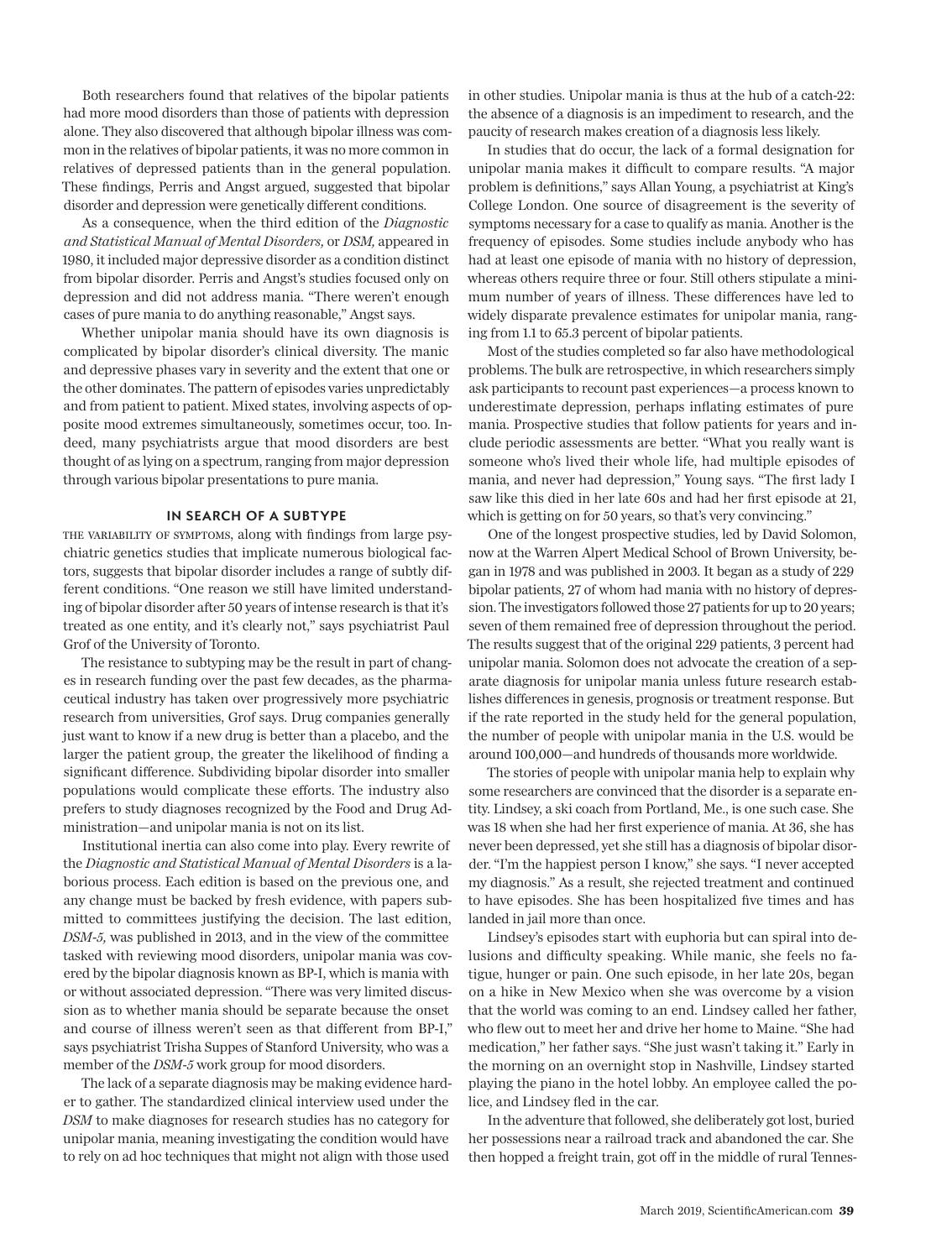Both researchers found that relatives of the bipolar patients had more mood disorders than those of patients with depression alone. They also discovered that although bipolar illness was common in the relatives of bipolar patients, it was no more common in relatives of depressed patients than in the general population. These findings, Perris and Angst argued, suggested that bipolar disorder and depression were genetically different conditions.

As a consequence, when the third edition of the *Diagnostic and Statistical Manual of Mental Disorders,* or *DSM,* appeared in 1980, it included major depressive disorder as a condition distinct from bipolar disorder. Perris and Angst's studies focused only on depression and did not address mania. "There weren't enough cases of pure mania to do anything reasonable," Angst says.

Whether unipolar mania should have its own diagnosis is complicated by bipolar disorder's clinical diversity. The manic and depressive phases vary in severity and the extent that one or the other dominates. The pattern of episodes varies unpredictably and from patient to patient. Mixed states, involving aspects of opposite mood extremes simultaneously, sometimes occur, too. Indeed, many psychiatrists argue that mood disorders are best thought of as lying on a spectrum, ranging from major depression through various bipolar presentations to pure mania.

## **IN SEARCH OF A SUBTYPE**

The variability of symptoms, along with findings from large psychiatric genetics studies that implicate numerous biological factors, suggests that bipolar disorder includes a range of subtly different conditions. "One reason we still have limited understanding of bipolar disorder after 50 years of intense research is that it's treated as one entity, and it's clearly not," says psychiatrist Paul Grof of the University of Toronto.

The resistance to subtyping may be the result in part of changes in research funding over the past few decades, as the pharmaceutical industry has taken over progressively more psychiatric research from universities, Grof says. Drug companies generally just want to know if a new drug is better than a placebo, and the larger the patient group, the greater the likelihood of finding a significant difference. Subdividing bipolar disorder into smaller populations would complicate these efforts. The industry also prefers to study diagnoses recognized by the Food and Drug Administration—and unipolar mania is not on its list.

Institutional inertia can also come into play. Every rewrite of the *Diagnostic and Statistical Manual of Mental Disorders* is a laborious process. Each edition is based on the previous one, and any change must be backed by fresh evidence, with papers submitted to committees justifying the decision. The last edition, *DSM-5,* was published in 2013, and in the view of the committee tasked with reviewing mood disorders, unipolar mania was covered by the bipolar diagnosis known as BP-I, which is mania with or without associated depression. "There was very limited discussion as to whether mania should be separate because the onset and course of illness weren't seen as that different from BP-I," says psychiatrist Trisha Suppes of Stanford University, who was a member of the *DSM-5* work group for mood disorders.

The lack of a separate diagnosis may be making evidence harder to gather. The standardized clinical interview used under the *DSM* to make diagnoses for research studies has no category for unipolar mania, meaning investigating the condition would have to rely on ad hoc techniques that might not align with those used

in other studies. Unipolar mania is thus at the hub of a catch-22: the absence of a diagnosis is an impediment to research, and the paucity of research makes creation of a diagnosis less likely.

In studies that do occur, the lack of a formal designation for unipolar mania makes it difficult to compare results. "A major problem is definitions," says Allan Young, a psychiatrist at King's College London. One source of disagreement is the severity of symptoms necessary for a case to qualify as mania. Another is the frequency of episodes. Some studies include anybody who has had at least one episode of mania with no history of depression, whereas others require three or four. Still others stipulate a minimum number of years of illness. These differences have led to widely disparate prevalence estimates for unipolar mania, ranging from 1.1 to 65.3 percent of bipolar patients.

Most of the studies completed so far also have methodological problems. The bulk are retrospective, in which researchers simply ask participants to recount past experiences—a process known to underestimate depression, perhaps inflating estimates of pure mania. Prospective studies that follow patients for years and include periodic assessments are better. "What you really want is someone who's lived their whole life, had multiple episodes of mania, and never had depression," Young says. "The first lady I saw like this died in her late 60s and had her first episode at 21, which is getting on for 50 years, so that's very convincing."

One of the longest prospective studies, led by David Solomon, now at the Warren Alpert Medical School of Brown University, began in 1978 and was published in 2003. It began as a study of 229 bipolar patients, 27 of whom had mania with no history of depression. The investigators followed those 27 patients for up to 20 years; seven of them remained free of depression throughout the period. The results suggest that of the original 229 patients, 3 percent had unipolar mania. Solomon does not advocate the creation of a separate diagnosis for unipolar mania unless future research establishes differences in genesis, prognosis or treatment response. But if the rate reported in the study held for the general population, the number of people with unipolar mania in the U.S. would be around 100,000—and hundreds of thousands more worldwide.

The stories of people with unipolar mania help to explain why some researchers are convinced that the disorder is a separate entity. Lindsey, a ski coach from Portland, Me., is one such case. She was 18 when she had her first experience of mania. At 36, she has never been depressed, yet she still has a diagnosis of bipolar disorder. "I'm the happiest person I know," she says. "I never accepted my diagnosis." As a result, she rejected treatment and continued to have episodes. She has been hospitalized five times and has landed in jail more than once.

Lindsey's episodes start with euphoria but can spiral into delusions and difficulty speaking. While manic, she feels no fatigue, hunger or pain. One such episode, in her late 20s, began on a hike in New Mexico when she was overcome by a vision that the world was coming to an end. Lindsey called her father, who flew out to meet her and drive her home to Maine. "She had medication," her father says. "She just wasn't taking it." Early in the morning on an overnight stop in Nashville, Lindsey started playing the piano in the hotel lobby. An employee called the police, and Lindsey fled in the car.

In the adventure that followed, she deliberately got lost, buried her possessions near a railroad track and abandoned the car. She then hopped a freight train, got off in the middle of rural Tennes-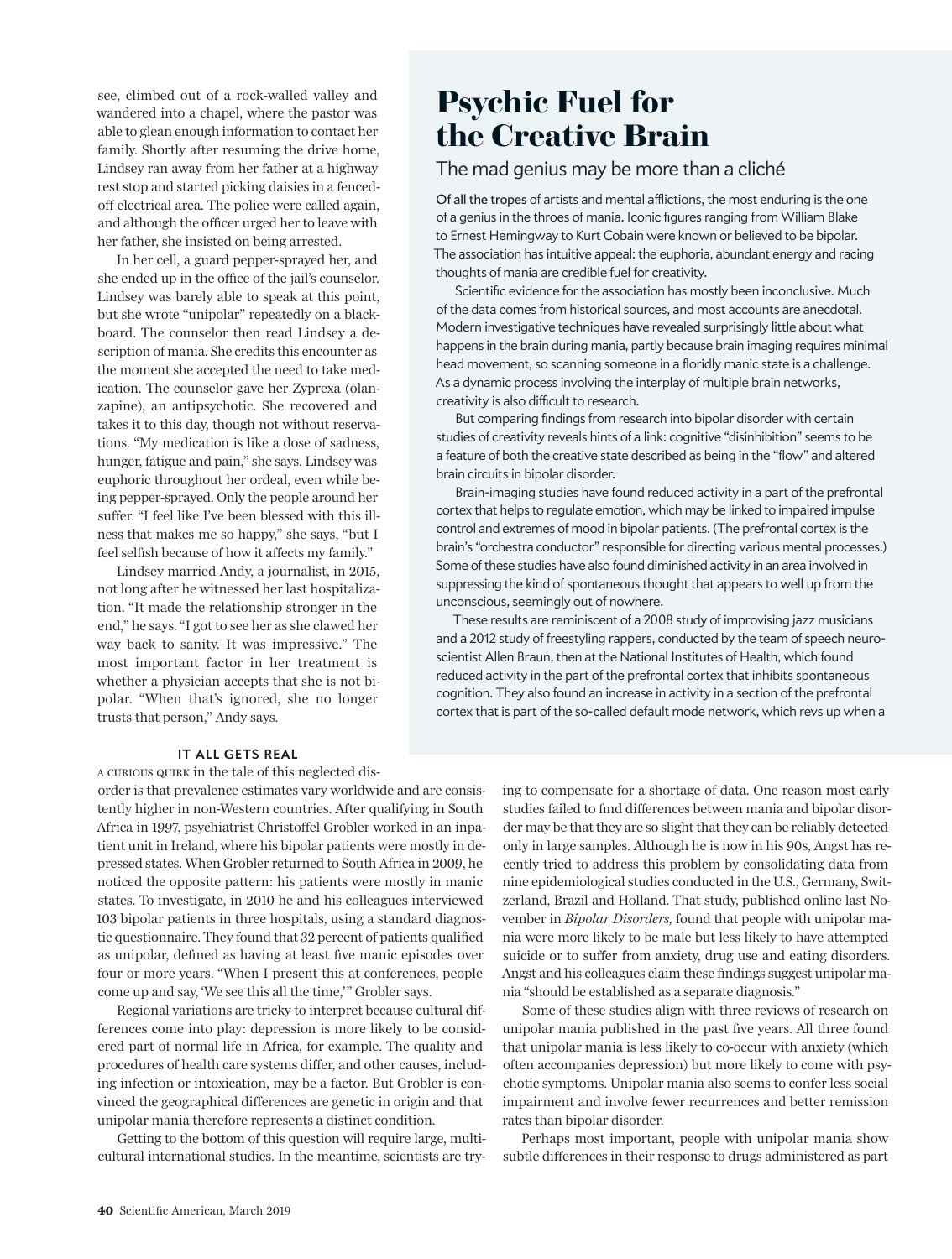see, climbed out of a rock-walled valley and wandered into a chapel, where the pastor was able to glean enough information to contact her family. Shortly after resuming the drive home, Lindsey ran away from her father at a highway rest stop and started picking daisies in a fencedoff electrical area. The police were called again, and although the officer urged her to leave with her father, she insisted on being arrested.

In her cell, a guard pepper-sprayed her, and she ended up in the office of the jail's counselor. Lindsey was barely able to speak at this point, but she wrote "unipolar" repeatedly on a blackboard. The counselor then read Lindsey a description of mania. She credits this encounter as the moment she accepted the need to take medication. The counselor gave her Zyprexa (olanzapine), an antipsychotic. She recovered and takes it to this day, though not without reservations. "My medication is like a dose of sadness, hunger, fatigue and pain," she says. Lindsey was euphoric throughout her ordeal, even while being pepper-sprayed. Only the people around her suffer. "I feel like I've been blessed with this illness that makes me so happy," she says, "but I feel selfish because of how it affects my family."

Lindsey married Andy, a journalist, in 2015, not long after he witnessed her last hospitalization. "It made the relationship stronger in the end," he says. "I got to see her as she clawed her way back to sanity. It was impressive." The most important factor in her treatment is whether a physician accepts that she is not bipolar. "When that's ignored, she no longer trusts that person," Andy says.

# **Psychic Fuel for the Creative Brain**

# The mad genius may be more than a cliché

Of all the tropes of artists and mental afflictions, the most enduring is the one of a genius in the throes of mania. Iconic figures ranging from William Blake to Ernest Hemingway to Kurt Cobain were known or believed to be bipolar. The association has intuitive appeal: the euphoria, abundant energy and racing thoughts of mania are credible fuel for creativity.

Scientific evidence for the association has mostly been inconclusive. Much of the data comes from historical sources, and most accounts are anecdotal. Modern investigative techniques have revealed surprisingly little about what happens in the brain during mania, partly because brain imaging requires minimal head movement, so scanning someone in a floridly manic state is a challenge. As a dynamic process involving the interplay of multiple brain networks, creativity is also difficult to research.

But comparing findings from research into bipolar disorder with certain studies of creativity reveals hints of a link: cognitive "disinhibition" seems to be a feature of both the creative state described as being in the "flow" and altered brain circuits in bipolar disorder.

Brain-imaging studies have found reduced activity in a part of the prefrontal cortex that helps to regulate emotion, which may be linked to impaired impulse control and extremes of mood in bipolar patients. (The prefrontal cortex is the brain's "orchestra conductor" responsible for directing various mental processes.) Some of these studies have also found diminished activity in an area involved in suppressing the kind of spontaneous thought that appears to well up from the unconscious, seemingly out of nowhere.

These results are reminiscent of a 2008 study of improvising jazz musicians and a 2012 study of freestyling rappers, conducted by the team of speech neuroscientist Allen Braun, then at the National Institutes of Health, which found reduced activity in the part of the prefrontal cortex that inhibits spontaneous cognition. They also found an increase in activity in a section of the prefrontal cortex that is part of the so-called default mode network, which revs up when a

### **IT ALL GETS REAL**

A curious quirk in the tale of this neglected dis-

order is that prevalence estimates vary worldwide and are consistently higher in non-Western countries. After qualifying in South Africa in 1997, psychiatrist Christoffel Grobler worked in an inpatient unit in Ireland, where his bipolar patients were mostly in depressed states. When Grobler returned to South Africa in 2009, he noticed the opposite pattern: his patients were mostly in manic states. To investigate, in 2010 he and his colleagues interviewed 103 bipolar patients in three hospitals, using a standard diagnostic questionnaire. They found that 32 percent of patients qualified as unipolar, defined as having at least five manic episodes over four or more years. "When I present this at conferences, people come up and say, 'We see this all the time,'" Grobler says.

Regional variations are tricky to interpret because cultural differences come into play: depression is more likely to be considered part of normal life in Africa, for example. The quality and procedures of health care systems differ, and other causes, including infection or intoxication, may be a factor. But Grobler is convinced the geographical differences are genetic in origin and that unipolar mania therefore represents a distinct condition.

Getting to the bottom of this question will require large, multicultural international studies. In the meantime, scientists are trying to compensate for a shortage of data. One reason most early studies failed to find differences between mania and bipolar disorder may be that they are so slight that they can be reliably detected only in large samples. Although he is now in his 90s, Angst has recently tried to address this problem by consolidating data from nine epidemiological studies conducted in the U.S., Germany, Switzerland, Brazil and Holland. That study, published online last November in *Bipolar Disorders,* found that people with unipolar mania were more likely to be male but less likely to have attempted suicide or to suffer from anxiety, drug use and eating disorders. Angst and his colleagues claim these findings suggest unipolar mania "should be established as a separate diagnosis."

Some of these studies align with three reviews of research on unipolar mania published in the past five years. All three found that unipolar mania is less likely to co-occur with anxiety (which often accompanies depression) but more likely to come with psychotic symptoms. Unipolar mania also seems to confer less social impairment and involve fewer recurrences and better remission rates than bipolar disorder.

Perhaps most important, people with unipolar mania show subtle differences in their response to drugs administered as part